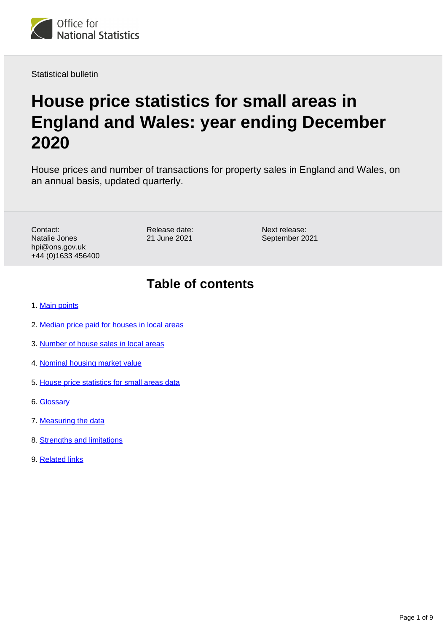

Statistical bulletin

# **House price statistics for small areas in England and Wales: year ending December 2020**

House prices and number of transactions for property sales in England and Wales, on an annual basis, updated quarterly.

Contact: Natalie Jones hpi@ons.gov.uk +44 (0)1633 456400 Release date: 21 June 2021

Next release: September 2021

## **Table of contents**

- 1. [Main points](#page-1-0)
- 2. [Median price paid for houses in local areas](#page-1-1)
- 3. [Number of house sales in local areas](#page-2-0)
- 4. [Nominal housing market value](#page-4-0)
- 5. [House price statistics for small areas data](#page-6-0)
- 6. [Glossary](#page-6-1)
- 7. [Measuring the data](#page-7-0)
- 8. [Strengths and limitations](#page-7-1)
- 9. [Related links](#page-8-0)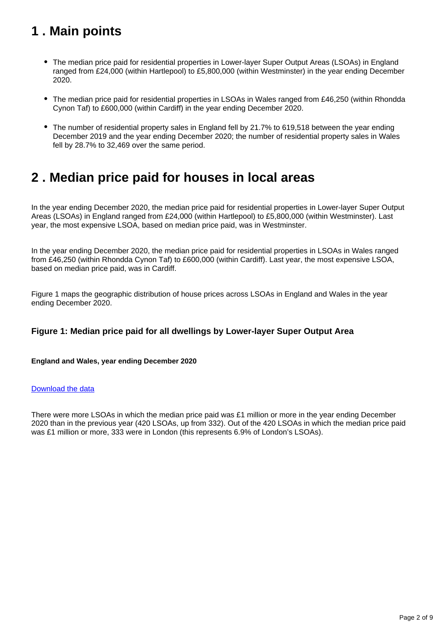## <span id="page-1-0"></span>**1 . Main points**

- The median price paid for residential properties in Lower-layer Super Output Areas (LSOAs) in England ranged from £24,000 (within Hartlepool) to £5,800,000 (within Westminster) in the year ending December 2020.
- The median price paid for residential properties in LSOAs in Wales ranged from £46,250 (within Rhondda Cynon Taf) to £600,000 (within Cardiff) in the year ending December 2020.
- The number of residential property sales in England fell by 21.7% to 619,518 between the year ending December 2019 and the year ending December 2020; the number of residential property sales in Wales fell by 28.7% to 32,469 over the same period.

## <span id="page-1-1"></span>**2 . Median price paid for houses in local areas**

In the year ending December 2020, the median price paid for residential properties in Lower-layer Super Output Areas (LSOAs) in England ranged from £24,000 (within Hartlepool) to £5,800,000 (within Westminster). Last year, the most expensive LSOA, based on median price paid, was in Westminster.

In the year ending December 2020, the median price paid for residential properties in LSOAs in Wales ranged from £46,250 (within Rhondda Cynon Taf) to £600,000 (within Cardiff). Last year, the most expensive LSOA, based on median price paid, was in Cardiff.

Figure 1 maps the geographic distribution of house prices across LSOAs in England and Wales in the year ending December 2020.

#### **Figure 1: Median price paid for all dwellings by Lower-layer Super Output Area**

#### **England and Wales, year ending December 2020**

#### [Download the data](https://www.ons.gov.uk/visualisations/dvc1415/fig1/datadownload.xlsx)

There were more LSOAs in which the median price paid was £1 million or more in the year ending December 2020 than in the previous year (420 LSOAs, up from 332). Out of the 420 LSOAs in which the median price paid was £1 million or more, 333 were in London (this represents 6.9% of London's LSOAs).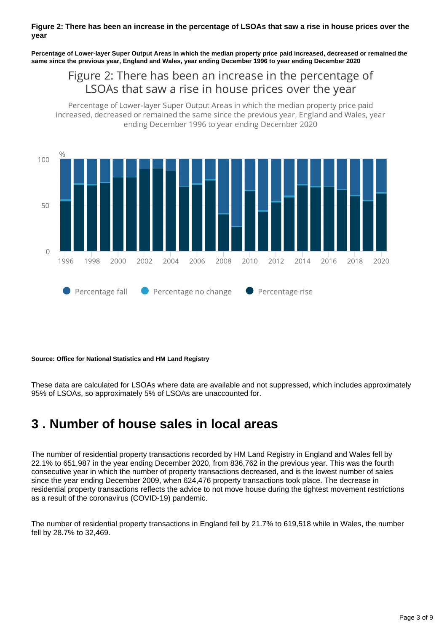#### **Figure 2: There has been an increase in the percentage of LSOAs that saw a rise in house prices over the year**

**Percentage of Lower-layer Super Output Areas in which the median property price paid increased, decreased or remained the same since the previous year, England and Wales, year ending December 1996 to year ending December 2020**

### Figure 2: There has been an increase in the percentage of LSOAs that saw a rise in house prices over the year

Percentage of Lower-layer Super Output Areas in which the median property price paid increased, decreased or remained the same since the previous year, England and Wales, year ending December 1996 to year ending December 2020



#### **Source: Office for National Statistics and HM Land Registry**

These data are calculated for LSOAs where data are available and not suppressed, which includes approximately 95% of LSOAs, so approximately 5% of LSOAs are unaccounted for.

## <span id="page-2-0"></span>**3 . Number of house sales in local areas**

The number of residential property transactions recorded by HM Land Registry in England and Wales fell by 22.1% to 651,987 in the year ending December 2020, from 836,762 in the previous year. This was the fourth consecutive year in which the number of property transactions decreased, and is the lowest number of sales since the year ending December 2009, when 624,476 property transactions took place. The decrease in residential property transactions reflects the advice to not move house during the tightest movement restrictions as a result of the coronavirus (COVID-19) pandemic.

The number of residential property transactions in England fell by 21.7% to 619,518 while in Wales, the number fell by 28.7% to 32,469.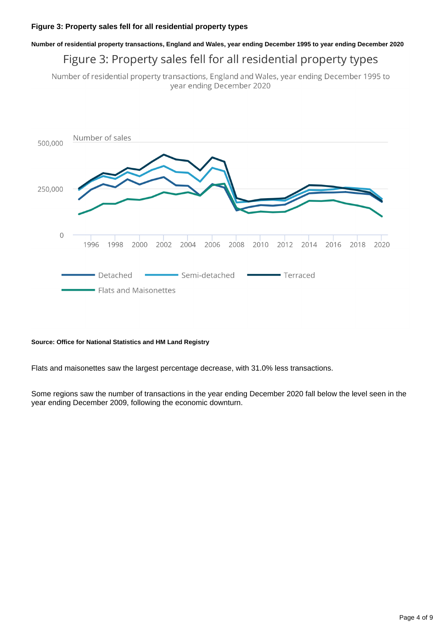## **Number of residential property transactions, England and Wales, year ending December 1995 to year ending December 2020** Figure 3: Property sales fell for all residential property types

Number of residential property transactions, England and Wales, year ending December 1995 to year ending December 2020



#### **Source: Office for National Statistics and HM Land Registry**

Flats and maisonettes saw the largest percentage decrease, with 31.0% less transactions.

Some regions saw the number of transactions in the year ending December 2020 fall below the level seen in the year ending December 2009, following the economic downturn.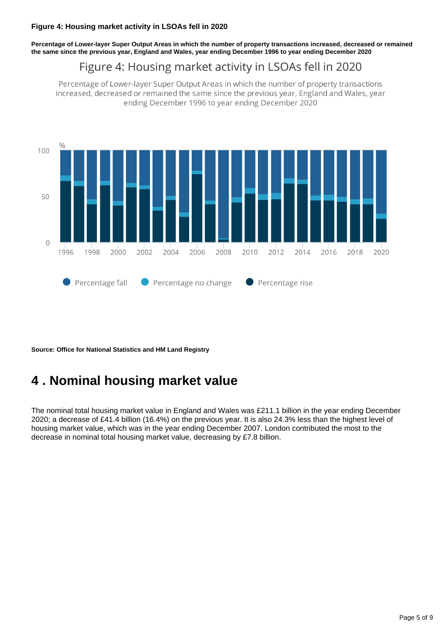**Percentage of Lower-layer Super Output Areas in which the number of property transactions increased, decreased or remained the same since the previous year, England and Wales, year ending December 1996 to year ending December 2020**

## Figure 4: Housing market activity in LSOAs fell in 2020

Percentage of Lower-layer Super Output Areas in which the number of property transactions increased, decreased or remained the same since the previous year, England and Wales, year ending December 1996 to year ending December 2020



**Source: Office for National Statistics and HM Land Registry**

## <span id="page-4-0"></span>**4 . Nominal housing market value**

The nominal total housing market value in England and Wales was £211.1 billion in the year ending December 2020; a decrease of £41.4 billion (16.4%) on the previous year. It is also 24.3% less than the highest level of housing market value, which was in the year ending December 2007. London contributed the most to the decrease in nominal total housing market value, decreasing by £7.8 billion.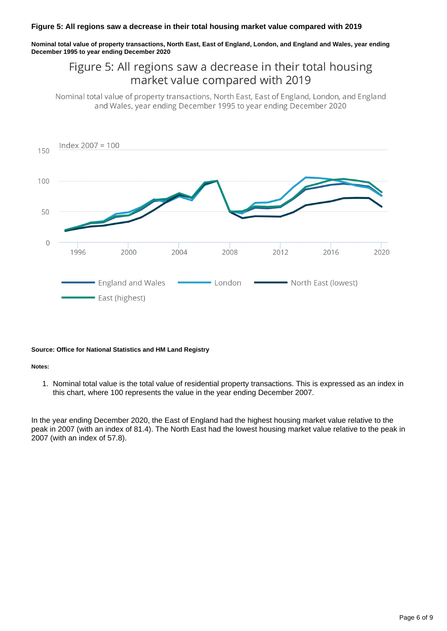**Nominal total value of property transactions, North East, East of England, London, and England and Wales, year ending December 1995 to year ending December 2020**

### Figure 5: All regions saw a decrease in their total housing market value compared with 2019

Nominal total value of property transactions, North East, East of England, London, and England and Wales, year ending December 1995 to year ending December 2020



#### **Source: Office for National Statistics and HM Land Registry**

#### **Notes:**

1. Nominal total value is the total value of residential property transactions. This is expressed as an index in this chart, where 100 represents the value in the year ending December 2007.

In the year ending December 2020, the East of England had the highest housing market value relative to the peak in 2007 (with an index of 81.4). The North East had the lowest housing market value relative to the peak in 2007 (with an index of 57.8).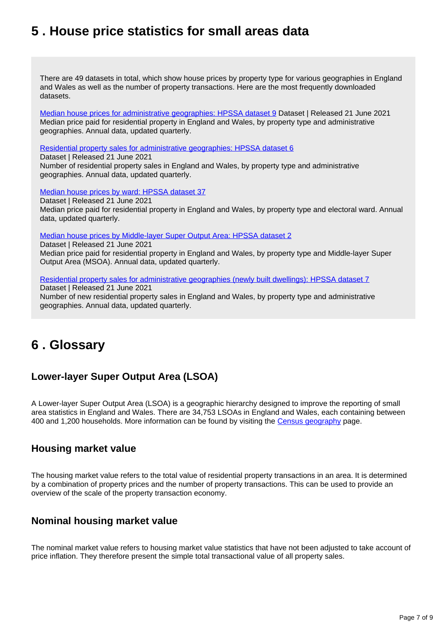## <span id="page-6-0"></span>**5 . House price statistics for small areas data**

There are 49 datasets in total, which show house prices by property type for various geographies in England and Wales as well as the number of property transactions. Here are the most frequently downloaded datasets.

[Median house prices for administrative geographies: HPSSA dataset 9](https://www.ons.gov.uk/peoplepopulationandcommunity/housing/datasets/medianhousepricefornationalandsubnationalgeographiesquarterlyrollingyearhpssadataset09) Dataset | Released 21 June 2021 Median price paid for residential property in England and Wales, by property type and administrative geographies. Annual data, updated quarterly.

[Residential property sales for administrative geographies: HPSSA dataset 6](https://www.ons.gov.uk/peoplepopulationandcommunity/housing/datasets/numberofresidentialpropertysalesfornationalandsubnationalgeographiesquarterlyrollingyearhpssadataset06)

Dataset | Released 21 June 2021 Number of residential property sales in England and Wales, by property type and administrative geographies. Annual data, updated quarterly.

[Median house prices by ward: HPSSA dataset 37](https://www.ons.gov.uk/peoplepopulationandcommunity/housing/datasets/medianpricepaidbywardhpssadataset37)

Dataset | Released 21 June 2021 Median price paid for residential property in England and Wales, by property type and electoral ward. Annual data, updated quarterly.

[Median house prices by Middle-layer Super Output Area: HPSSA dataset 2](https://www.ons.gov.uk/peoplepopulationandcommunity/housing/datasets/hpssadataset2medianhousepricebymsoaquarterlyrollingyear)

Dataset | Released 21 June 2021

Median price paid for residential property in England and Wales, by property type and Middle-layer Super Output Area (MSOA). Annual data, updated quarterly.

[Residential property sales for administrative geographies \(newly built dwellings\): HPSSA dataset 7](https://www.ons.gov.uk/peoplepopulationandcommunity/housing/datasets/numberofresidentialpropertysalesfornationalandsubnationalgeographiesnewlybuiltdwellingsquarterlyrollingyearhpssadataset07)

Dataset | Released 21 June 2021

Number of new residential property sales in England and Wales, by property type and administrative geographies. Annual data, updated quarterly.

## <span id="page-6-1"></span>**6 . Glossary**

### **Lower-layer Super Output Area (LSOA)**

A Lower-layer Super Output Area (LSOA) is a geographic hierarchy designed to improve the reporting of small area statistics in England and Wales. There are 34,753 LSOAs in England and Wales, each containing between 400 and 1,200 households. More information can be found by visiting the [Census geography](https://www.ons.gov.uk/methodology/geography/ukgeographies/censusgeography) page.

### **Housing market value**

The housing market value refers to the total value of residential property transactions in an area. It is determined by a combination of property prices and the number of property transactions. This can be used to provide an overview of the scale of the property transaction economy.

### **Nominal housing market value**

The nominal market value refers to housing market value statistics that have not been adjusted to take account of price inflation. They therefore present the simple total transactional value of all property sales.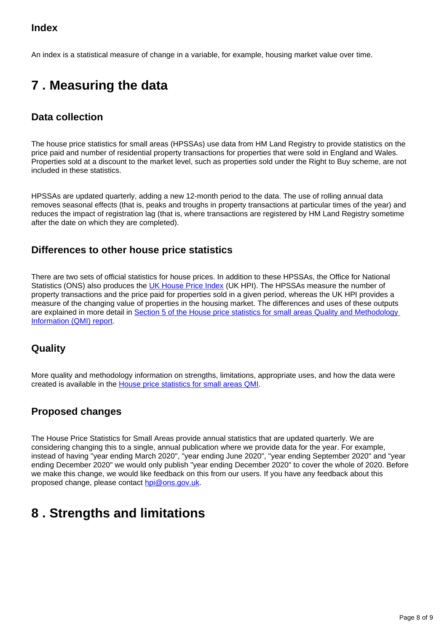### **Index**

An index is a statistical measure of change in a variable, for example, housing market value over time.

## <span id="page-7-0"></span>**7 . Measuring the data**

### **Data collection**

The house price statistics for small areas (HPSSAs) use data from HM Land Registry to provide statistics on the price paid and number of residential property transactions for properties that were sold in England and Wales. Properties sold at a discount to the market level, such as properties sold under the Right to Buy scheme, are not included in these statistics.

HPSSAs are updated quarterly, adding a new 12-month period to the data. The use of rolling annual data removes seasonal effects (that is, peaks and troughs in property transactions at particular times of the year) and reduces the impact of registration lag (that is, where transactions are registered by HM Land Registry sometime after the date on which they are completed).

### **Differences to other house price statistics**

There are two sets of official statistics for house prices. In addition to these HPSSAs, the Office for National Statistics (ONS) also produces the [UK House Price Index](https://www.ons.gov.uk/economy/inflationandpriceindices/bulletins/housepriceindex/previousReleases) (UK HPI). The HPSSAs measure the number of property transactions and the price paid for properties sold in a given period, whereas the UK HPI provides a measure of the changing value of properties in the housing market. The differences and uses of these outputs are explained in more detail in [Section 5 of the House price statistics for small areas Quality and Methodology](https://www.ons.gov.uk/peoplepopulationandcommunity/housing/methodologies/housepricestatisticsforsmallareasqmi#quality-characteristics-of-the-data)  [Information \(QMI\) report](https://www.ons.gov.uk/peoplepopulationandcommunity/housing/methodologies/housepricestatisticsforsmallareasqmi#quality-characteristics-of-the-data).

### **Quality**

More quality and methodology information on strengths, limitations, appropriate uses, and how the data were created is available in the [House price statistics for small areas QMI](https://style.ons.gov.uk/category/statistical-bulletin/data-and-methodology/).

### **Proposed changes**

The House Price Statistics for Small Areas provide annual statistics that are updated quarterly. We are considering changing this to a single, annual publication where we provide data for the year. For example, instead of having "year ending March 2020", "year ending June 2020", "year ending September 2020" and "year ending December 2020" we would only publish "year ending December 2020" to cover the whole of 2020. Before we make this change, we would like feedback on this from our users. If you have any feedback about this proposed change, please contact [hpi@ons.gov.uk.](mailto:hpi@ons.gov.uk)

## <span id="page-7-1"></span>**8 . Strengths and limitations**